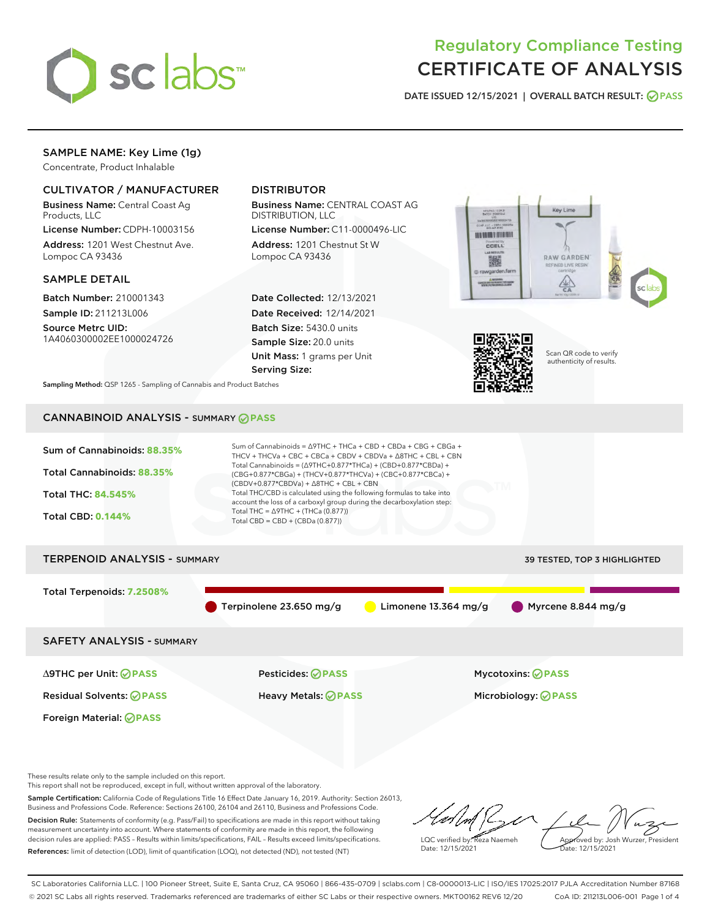

# Regulatory Compliance Testing CERTIFICATE OF ANALYSIS

DATE ISSUED 12/15/2021 | OVERALL BATCH RESULT: @ PASS

## SAMPLE NAME: Key Lime (1g)

Concentrate, Product Inhalable

## CULTIVATOR / MANUFACTURER

Business Name: Central Coast Ag Products, LLC

License Number: CDPH-10003156 Address: 1201 West Chestnut Ave. Lompoc CA 93436

#### SAMPLE DETAIL

Batch Number: 210001343 Sample ID: 211213L006

Source Metrc UID: 1A4060300002EE1000024726

## DISTRIBUTOR

Business Name: CENTRAL COAST AG DISTRIBUTION, LLC

License Number: C11-0000496-LIC Address: 1201 Chestnut St W Lompoc CA 93436

Date Collected: 12/13/2021 Date Received: 12/14/2021 Batch Size: 5430.0 units Sample Size: 20.0 units Unit Mass: 1 grams per Unit Serving Size:





Scan QR code to verify authenticity of results.

Sampling Method: QSP 1265 - Sampling of Cannabis and Product Batches

# CANNABINOID ANALYSIS - SUMMARY **PASS**



These results relate only to the sample included on this report.

This report shall not be reproduced, except in full, without written approval of the laboratory.

Sample Certification: California Code of Regulations Title 16 Effect Date January 16, 2019. Authority: Section 26013, Business and Professions Code. Reference: Sections 26100, 26104 and 26110, Business and Professions Code. Decision Rule: Statements of conformity (e.g. Pass/Fail) to specifications are made in this report without taking measurement uncertainty into account. Where statements of conformity are made in this report, the following

References: limit of detection (LOD), limit of quantification (LOQ), not detected (ND), not tested (NT)

decision rules are applied: PASS – Results within limits/specifications, FAIL – Results exceed limits/specifications.

LQC verified by: Reza Naemeh Date: 12/15/2021 Approved by: Josh Wurzer, President Date: 12/15/2021

SC Laboratories California LLC. | 100 Pioneer Street, Suite E, Santa Cruz, CA 95060 | 866-435-0709 | sclabs.com | C8-0000013-LIC | ISO/IES 17025:2017 PJLA Accreditation Number 87168 © 2021 SC Labs all rights reserved. Trademarks referenced are trademarks of either SC Labs or their respective owners. MKT00162 REV6 12/20 CoA ID: 211213L006-001 Page 1 of 4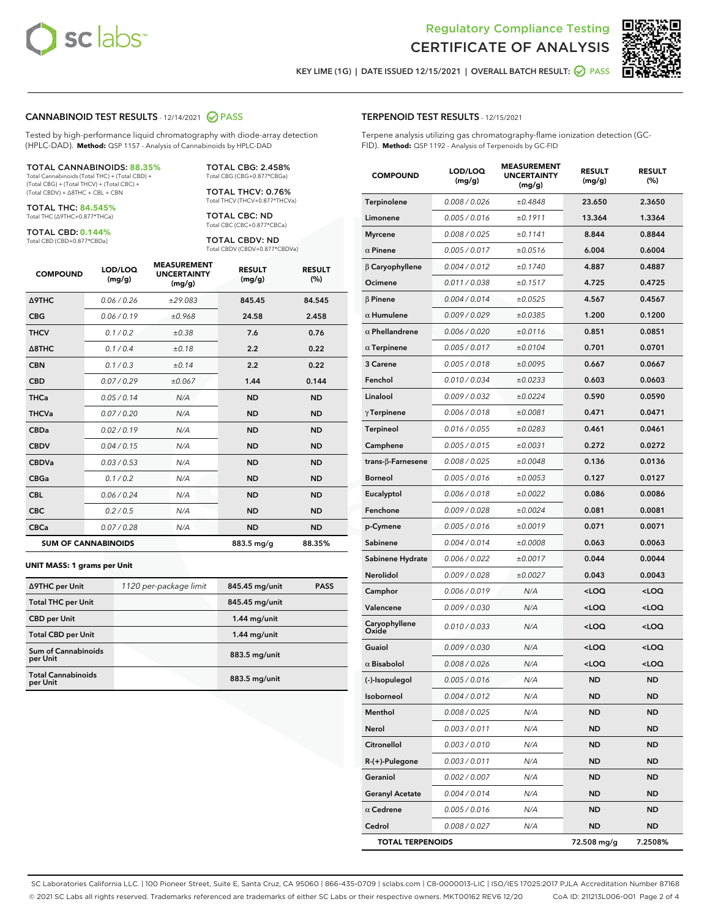



KEY LIME (1G) | DATE ISSUED 12/15/2021 | OVERALL BATCH RESULT:  $\bigcirc$  PASS

#### CANNABINOID TEST RESULTS - 12/14/2021 2 PASS

Tested by high-performance liquid chromatography with diode-array detection (HPLC-DAD). **Method:** QSP 1157 - Analysis of Cannabinoids by HPLC-DAD

#### TOTAL CANNABINOIDS: **88.35%**

Total Cannabinoids (Total THC) + (Total CBD) + (Total CBG) + (Total THCV) + (Total CBC) + (Total CBDV) + ∆8THC + CBL + CBN

TOTAL THC: **84.545%** Total THC (∆9THC+0.877\*THCa)

TOTAL CBD: **0.144%**

Total CBD (CBD+0.877\*CBDa)

TOTAL CBG: 2.458% Total CBG (CBG+0.877\*CBGa)

TOTAL THCV: 0.76% Total THCV (THCV+0.877\*THCVa)

TOTAL CBC: ND Total CBC (CBC+0.877\*CBCa)

TOTAL CBDV: ND Total CBDV (CBDV+0.877\*CBDVa)

| <b>COMPOUND</b>  | LOD/LOQ<br>(mg/g)          | <b>MEASUREMENT</b><br><b>UNCERTAINTY</b><br>(mg/g) | <b>RESULT</b><br>(mg/g) | <b>RESULT</b><br>(%) |
|------------------|----------------------------|----------------------------------------------------|-------------------------|----------------------|
| <b>A9THC</b>     | 0.06 / 0.26                | ±29.083                                            | 845.45                  | 84.545               |
| <b>CBG</b>       | 0.06/0.19                  | ±0.968                                             | 24.58                   | 2.458                |
| <b>THCV</b>      | 0.1 / 0.2                  | ±0.38                                              | 7.6                     | 0.76                 |
| $\triangle$ 8THC | 0.1/0.4                    | ±0.18                                              | 2.2                     | 0.22                 |
| <b>CBN</b>       | 0.1 / 0.3                  | ±0.14                                              | 2.2                     | 0.22                 |
| <b>CBD</b>       | 0.07/0.29                  | ±0.067                                             | 1.44                    | 0.144                |
| <b>THCa</b>      | 0.05/0.14                  | N/A                                                | <b>ND</b>               | <b>ND</b>            |
| <b>THCVa</b>     | 0.07/0.20                  | N/A                                                | <b>ND</b>               | <b>ND</b>            |
| <b>CBDa</b>      | 0.02/0.19                  | N/A                                                | <b>ND</b>               | <b>ND</b>            |
| <b>CBDV</b>      | 0.04/0.15                  | N/A                                                | <b>ND</b>               | <b>ND</b>            |
| <b>CBDVa</b>     | 0.03/0.53                  | N/A                                                | <b>ND</b>               | <b>ND</b>            |
| <b>CBGa</b>      | 0.1/0.2                    | N/A                                                | <b>ND</b>               | <b>ND</b>            |
| <b>CBL</b>       | 0.06 / 0.24                | N/A                                                | <b>ND</b>               | <b>ND</b>            |
| <b>CBC</b>       | 0.2 / 0.5                  | N/A                                                | <b>ND</b>               | <b>ND</b>            |
| <b>CBCa</b>      | 0.07 / 0.28                | N/A                                                | <b>ND</b>               | <b>ND</b>            |
|                  | <b>SUM OF CANNABINOIDS</b> |                                                    | 883.5 mg/g              | 88.35%               |

#### **UNIT MASS: 1 grams per Unit**

| ∆9THC per Unit                         | 1120 per-package limit | 845.45 mg/unit  | <b>PASS</b> |
|----------------------------------------|------------------------|-----------------|-------------|
| <b>Total THC per Unit</b>              |                        | 845.45 mg/unit  |             |
| <b>CBD per Unit</b>                    |                        | $1.44$ mg/unit  |             |
| <b>Total CBD per Unit</b>              |                        | $1.44$ mg/unit  |             |
| <b>Sum of Cannabinoids</b><br>per Unit |                        | 883.5 mg/unit   |             |
| <b>Total Cannabinoids</b><br>per Unit  |                        | $883.5$ mg/unit |             |

#### TERPENOID TEST RESULTS - 12/15/2021

Terpene analysis utilizing gas chromatography-flame ionization detection (GC-FID). **Method:** QSP 1192 - Analysis of Terpenoids by GC-FID

| <b>COMPOUND</b>         | LOD/LOQ<br>(mg/g)    | <b>MEASUREMENT</b><br><b>UNCERTAINTY</b><br>(mg/g) | <b>RESULT</b><br>(mg/g)                         | <b>RESULT</b><br>(%) |
|-------------------------|----------------------|----------------------------------------------------|-------------------------------------------------|----------------------|
| Terpinolene             | 0.008 / 0.026        | ±0.4848                                            | 23.650                                          | 2.3650               |
| Limonene                | 0.005 / 0.016        | ±0.1911                                            | 13.364                                          | 1.3364               |
| <b>Myrcene</b>          | 0.008 / 0.025        | ±0.1141                                            | 8.844                                           | 0.8844               |
| $\alpha$ Pinene         | 0.005 / 0.017        | ±0.0516                                            | 6.004                                           | 0.6004               |
| $\beta$ Caryophyllene   | 0.004 / 0.012        | ±0.1740                                            | 4.887                                           | 0.4887               |
| Ocimene                 | 0.011 / 0.038        | ±0.1517                                            | 4.725                                           | 0.4725               |
| $\beta$ Pinene          | 0.004 / 0.014        | ±0.0525                                            | 4.567                                           | 0.4567               |
| $\alpha$ Humulene       | 0.009 / 0.029        | ±0.0385                                            | 1.200                                           | 0.1200               |
| $\alpha$ Phellandrene   | 0.006 / 0.020        | ±0.0116                                            | 0.851                                           | 0.0851               |
| $\alpha$ Terpinene      | 0.005 / 0.017        | ±0.0104                                            | 0.701                                           | 0.0701               |
| 3 Carene                | 0.005 / 0.018        | ±0.0095                                            | 0.667                                           | 0.0667               |
| Fenchol                 | 0.010 / 0.034        | ±0.0233                                            | 0.603                                           | 0.0603               |
| Linalool                | 0.009 / 0.032        | ±0.0224                                            | 0.590                                           | 0.0590               |
| $\gamma$ Terpinene      | 0.006 / 0.018        | ±0.0081                                            | 0.471                                           | 0.0471               |
| <b>Terpineol</b>        | 0.016 / 0.055        | ±0.0283                                            | 0.461                                           | 0.0461               |
| Camphene                | 0.005 / 0.015        | ±0.0031                                            | 0.272                                           | 0.0272               |
| trans-ß-Farnesene       | 0.008 / 0.025        | ±0.0048                                            | 0.136                                           | 0.0136               |
| <b>Borneol</b>          | 0.005 / 0.016        | ±0.0053                                            | 0.127                                           | 0.0127               |
| Eucalyptol              | 0.006 / 0.018        | ±0.0022                                            | 0.086                                           | 0.0086               |
| Fenchone                | 0.009 / 0.028        | ±0.0024                                            | 0.081                                           | 0.0081               |
| p-Cymene                | 0.005 / 0.016        | ±0.0019                                            | 0.071                                           | 0.0071               |
| Sabinene                | 0.004 / 0.014        | ±0.0008                                            | 0.063                                           | 0.0063               |
| Sabinene Hydrate        | 0.006 / 0.022        | ±0.0017                                            | 0.044                                           | 0.0044               |
| Nerolidol               | 0.009 / 0.028        | ±0.0027                                            | 0.043                                           | 0.0043               |
| Camphor                 | 0.006 / 0.019        | N/A                                                | <loq< th=""><th><loq< th=""></loq<></th></loq<> | <loq< th=""></loq<>  |
| Valencene               | <i>0.009 / 0.030</i> | N/A                                                | <loq< th=""><th><loq< th=""></loq<></th></loq<> | <loq< th=""></loq<>  |
| Caryophyllene<br>Oxide  | 0.010 / 0.033        | N/A                                                | <loq< th=""><th><loq< th=""></loq<></th></loq<> | <loq< th=""></loq<>  |
| Guaiol                  | 0.009 / 0.030        | N/A                                                | <loq< th=""><th><loq< th=""></loq<></th></loq<> | <loq< th=""></loq<>  |
| $\alpha$ Bisabolol      | 0.008 / 0.026        | N/A                                                | <loq< th=""><th><loq< th=""></loq<></th></loq<> | <loq< th=""></loq<>  |
| (-)-Isopulegol          | 0.005 / 0.016        | N/A                                                | ND                                              | ND.                  |
| Isoborneol              | 0.004 / 0.012        | N/A                                                | ND                                              | ND                   |
| Menthol                 | 0.008 / 0.025        | N/A                                                | <b>ND</b>                                       | ND                   |
| Nerol                   | 0.003 / 0.011        | N/A                                                | <b>ND</b>                                       | ND                   |
| Citronellol             | 0.003 / 0.010        | N/A                                                | ND                                              | ND                   |
| R-(+)-Pulegone          | 0.003 / 0.011        | N/A                                                | ND                                              | ND                   |
| Geraniol                | 0.002 / 0.007        | N/A                                                | ND                                              | ND                   |
| <b>Geranyl Acetate</b>  | 0.004 / 0.014        | N/A                                                | ND                                              | ND                   |
| $\alpha$ Cedrene        | 0.005 / 0.016        | N/A                                                | ND                                              | ND                   |
| Cedrol                  | 0.008 / 0.027        | N/A                                                | <b>ND</b>                                       | ND                   |
| <b>TOTAL TERPENOIDS</b> |                      |                                                    | 72.508 mg/g                                     | 7.2508%              |

SC Laboratories California LLC. | 100 Pioneer Street, Suite E, Santa Cruz, CA 95060 | 866-435-0709 | sclabs.com | C8-0000013-LIC | ISO/IES 17025:2017 PJLA Accreditation Number 87168 © 2021 SC Labs all rights reserved. Trademarks referenced are trademarks of either SC Labs or their respective owners. MKT00162 REV6 12/20 CoA ID: 211213L006-001 Page 2 of 4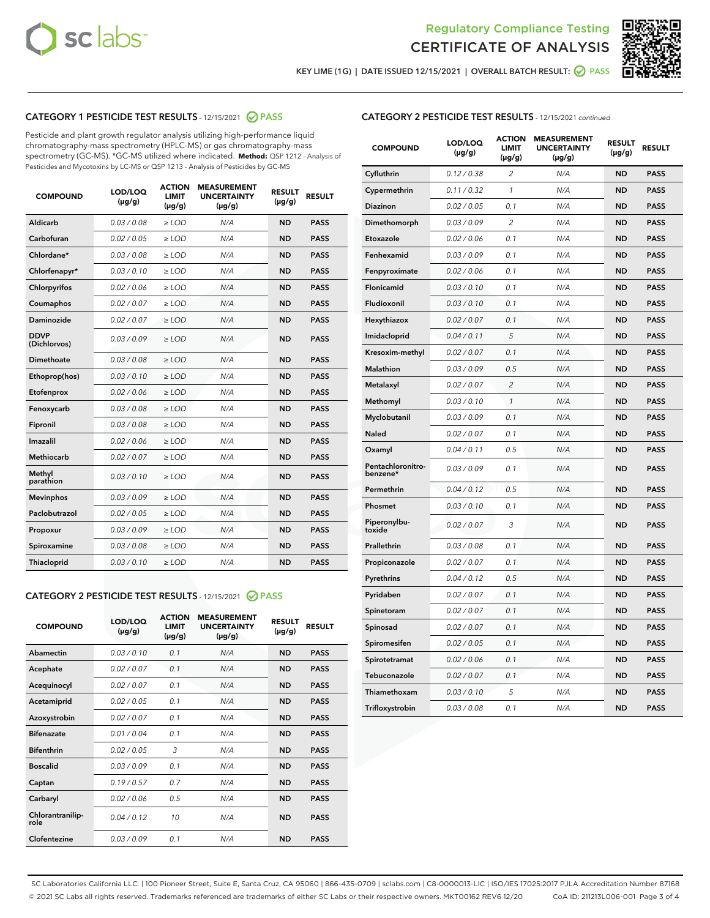



KEY LIME (1G) | DATE ISSUED 12/15/2021 | OVERALL BATCH RESULT: O PASS

## CATEGORY 1 PESTICIDE TEST RESULTS - 12/15/2021 2 PASS

Pesticide and plant growth regulator analysis utilizing high-performance liquid chromatography-mass spectrometry (HPLC-MS) or gas chromatography-mass spectrometry (GC-MS). \*GC-MS utilized where indicated. **Method:** QSP 1212 - Analysis of Pesticides and Mycotoxins by LC-MS or QSP 1213 - Analysis of Pesticides by GC-MS

| <b>COMPOUND</b>             | LOD/LOQ<br>$(\mu g/g)$ | <b>ACTION</b><br><b>LIMIT</b><br>$(\mu g/g)$ | <b>MEASUREMENT</b><br><b>UNCERTAINTY</b><br>$(\mu g/g)$ | <b>RESULT</b><br>$(\mu g/g)$ | <b>RESULT</b> |
|-----------------------------|------------------------|----------------------------------------------|---------------------------------------------------------|------------------------------|---------------|
| Aldicarb                    | 0.03 / 0.08            | $\ge$ LOD                                    | N/A                                                     | <b>ND</b>                    | <b>PASS</b>   |
| Carbofuran                  | 0.02 / 0.05            | $\ge$ LOD                                    | N/A                                                     | <b>ND</b>                    | <b>PASS</b>   |
| Chlordane*                  | 0.03 / 0.08            | $\ge$ LOD                                    | N/A                                                     | <b>ND</b>                    | <b>PASS</b>   |
| Chlorfenapyr*               | 0.03/0.10              | $\ge$ LOD                                    | N/A                                                     | <b>ND</b>                    | <b>PASS</b>   |
| Chlorpyrifos                | 0.02 / 0.06            | $\ge$ LOD                                    | N/A                                                     | <b>ND</b>                    | <b>PASS</b>   |
| Coumaphos                   | 0.02 / 0.07            | $\ge$ LOD                                    | N/A                                                     | <b>ND</b>                    | <b>PASS</b>   |
| Daminozide                  | 0.02 / 0.07            | $\ge$ LOD                                    | N/A                                                     | <b>ND</b>                    | <b>PASS</b>   |
| <b>DDVP</b><br>(Dichlorvos) | 0.03/0.09              | $\ge$ LOD                                    | N/A                                                     | <b>ND</b>                    | <b>PASS</b>   |
| Dimethoate                  | 0.03 / 0.08            | $\ge$ LOD                                    | N/A                                                     | <b>ND</b>                    | <b>PASS</b>   |
| Ethoprop(hos)               | 0.03/0.10              | $\ge$ LOD                                    | N/A                                                     | <b>ND</b>                    | <b>PASS</b>   |
| Etofenprox                  | 0.02/0.06              | $>$ LOD                                      | N/A                                                     | <b>ND</b>                    | <b>PASS</b>   |
| Fenoxycarb                  | 0.03 / 0.08            | $>$ LOD                                      | N/A                                                     | <b>ND</b>                    | <b>PASS</b>   |
| Fipronil                    | 0.03 / 0.08            | $>$ LOD                                      | N/A                                                     | <b>ND</b>                    | <b>PASS</b>   |
| Imazalil                    | 0.02 / 0.06            | $\ge$ LOD                                    | N/A                                                     | <b>ND</b>                    | <b>PASS</b>   |
| <b>Methiocarb</b>           | 0.02 / 0.07            | $\ge$ LOD                                    | N/A                                                     | <b>ND</b>                    | <b>PASS</b>   |
| Methyl<br>parathion         | 0.03/0.10              | $\ge$ LOD                                    | N/A                                                     | <b>ND</b>                    | <b>PASS</b>   |
| <b>Mevinphos</b>            | 0.03/0.09              | $\ge$ LOD                                    | N/A                                                     | <b>ND</b>                    | <b>PASS</b>   |
| Paclobutrazol               | 0.02 / 0.05            | $\ge$ LOD                                    | N/A                                                     | <b>ND</b>                    | <b>PASS</b>   |
| Propoxur                    | 0.03/0.09              | $\ge$ LOD                                    | N/A                                                     | <b>ND</b>                    | <b>PASS</b>   |
| Spiroxamine                 | 0.03 / 0.08            | $\ge$ LOD                                    | N/A                                                     | <b>ND</b>                    | <b>PASS</b>   |
| Thiacloprid                 | 0.03/0.10              | $\ge$ LOD                                    | N/A                                                     | <b>ND</b>                    | <b>PASS</b>   |

#### CATEGORY 2 PESTICIDE TEST RESULTS - 12/15/2021 @ PASS

| <b>COMPOUND</b>          | LOD/LOO<br>$(\mu g/g)$ | <b>ACTION</b><br>LIMIT<br>$(\mu g/g)$ | <b>MEASUREMENT</b><br><b>UNCERTAINTY</b><br>$(\mu g/g)$ | <b>RESULT</b><br>$(\mu g/g)$ | <b>RESULT</b> |  |
|--------------------------|------------------------|---------------------------------------|---------------------------------------------------------|------------------------------|---------------|--|
| Abamectin                | 0.03/0.10              | 0.1                                   | N/A                                                     | <b>ND</b>                    | <b>PASS</b>   |  |
| Acephate                 | 0.02/0.07              | 0.1                                   | N/A                                                     | <b>ND</b>                    | <b>PASS</b>   |  |
| Acequinocyl              | 0.02/0.07              | 0.1                                   | N/A                                                     | <b>ND</b>                    | <b>PASS</b>   |  |
| Acetamiprid              | 0.02 / 0.05            | 0.1                                   | N/A                                                     | <b>ND</b>                    | <b>PASS</b>   |  |
| Azoxystrobin             | 0.02/0.07              | 0.1                                   | N/A                                                     | <b>ND</b>                    | <b>PASS</b>   |  |
| <b>Bifenazate</b>        | 0.01 / 0.04            | 0.1                                   | N/A                                                     | <b>ND</b>                    | <b>PASS</b>   |  |
| <b>Bifenthrin</b>        | 0.02/0.05              | 3                                     | N/A                                                     | <b>ND</b>                    | <b>PASS</b>   |  |
| <b>Boscalid</b>          | 0.03/0.09              | 0.1                                   | N/A                                                     | <b>ND</b>                    | <b>PASS</b>   |  |
| Captan                   | 0.19/0.57              | 0.7                                   | N/A                                                     | <b>ND</b>                    | <b>PASS</b>   |  |
| Carbaryl                 | 0.02/0.06              | 0.5                                   | N/A                                                     | <b>ND</b>                    | <b>PASS</b>   |  |
| Chlorantranilip-<br>role | 0.04/0.12              | 10                                    | N/A                                                     | <b>ND</b>                    | <b>PASS</b>   |  |
| Clofentezine             | 0.03/0.09              | 0.1                                   | N/A                                                     | <b>ND</b>                    | <b>PASS</b>   |  |

## CATEGORY 2 PESTICIDE TEST RESULTS - 12/15/2021 continued

| <b>COMPOUND</b>               | LOD/LOQ<br>(µg/g) | <b>ACTION</b><br>LIMIT<br>$(\mu g/g)$ | <b>MEASUREMENT</b><br><b>UNCERTAINTY</b><br>(µg/g) | <b>RESULT</b><br>(µg/g) | <b>RESULT</b> |
|-------------------------------|-------------------|---------------------------------------|----------------------------------------------------|-------------------------|---------------|
| Cyfluthrin                    | 0.12 / 0.38       | 2                                     | N/A                                                | ND                      | <b>PASS</b>   |
| Cypermethrin                  | 0.11 / 0.32       | $\mathbf{1}$                          | N/A                                                | ND                      | <b>PASS</b>   |
| Diazinon                      | 0.02 / 0.05       | 0.1                                   | N/A                                                | ND                      | <b>PASS</b>   |
| Dimethomorph                  | 0.03 / 0.09       | 2                                     | N/A                                                | ND                      | <b>PASS</b>   |
| Etoxazole                     | 0.02 / 0.06       | 0.1                                   | N/A                                                | ND                      | <b>PASS</b>   |
| Fenhexamid                    | 0.03 / 0.09       | 0.1                                   | N/A                                                | ND                      | <b>PASS</b>   |
| Fenpyroximate                 | 0.02 / 0.06       | 0.1                                   | N/A                                                | ND                      | <b>PASS</b>   |
| Flonicamid                    | 0.03 / 0.10       | 0.1                                   | N/A                                                | ND                      | <b>PASS</b>   |
| Fludioxonil                   | 0.03 / 0.10       | 0.1                                   | N/A                                                | ND                      | <b>PASS</b>   |
| Hexythiazox                   | 0.02 / 0.07       | 0.1                                   | N/A                                                | <b>ND</b>               | <b>PASS</b>   |
| Imidacloprid                  | 0.04 / 0.11       | 5                                     | N/A                                                | ND                      | <b>PASS</b>   |
| Kresoxim-methyl               | 0.02 / 0.07       | 0.1                                   | N/A                                                | ND                      | <b>PASS</b>   |
| Malathion                     | 0.03 / 0.09       | 0.5                                   | N/A                                                | ND                      | <b>PASS</b>   |
| Metalaxyl                     | 0.02 / 0.07       | $\overline{c}$                        | N/A                                                | <b>ND</b>               | <b>PASS</b>   |
| Methomyl                      | 0.03 / 0.10       | $\mathcal{I}$                         | N/A                                                | <b>ND</b>               | <b>PASS</b>   |
| Myclobutanil                  | 0.03 / 0.09       | 0.1                                   | N/A                                                | <b>ND</b>               | <b>PASS</b>   |
| Naled                         | 0.02 / 0.07       | 0.1                                   | N/A                                                | ND                      | <b>PASS</b>   |
| Oxamyl                        | 0.04 / 0.11       | 0.5                                   | N/A                                                | ND                      | PASS          |
| Pentachloronitro-<br>benzene* | 0.03 / 0.09       | 0.1                                   | N/A                                                | ND                      | <b>PASS</b>   |
| Permethrin                    | 0.04 / 0.12       | 0.5                                   | N/A                                                | <b>ND</b>               | <b>PASS</b>   |
| Phosmet                       | 0.03 / 0.10       | 0.1                                   | N/A                                                | <b>ND</b>               | <b>PASS</b>   |
| Piperonylbu-<br>toxide        | 0.02 / 0.07       | 3                                     | N/A                                                | ND                      | <b>PASS</b>   |
| Prallethrin                   | 0.03 / 0.08       | 0.1                                   | N/A                                                | <b>ND</b>               | <b>PASS</b>   |
| Propiconazole                 | 0.02 / 0.07       | 0.1                                   | N/A                                                | ND                      | <b>PASS</b>   |
| Pyrethrins                    | 0.04 / 0.12       | 0.5                                   | N/A                                                | ND                      | PASS          |
| Pyridaben                     | 0.02 / 0.07       | 0.1                                   | N/A                                                | ND                      | <b>PASS</b>   |
| Spinetoram                    | 0.02 / 0.07       | 0.1                                   | N/A                                                | ND                      | PASS          |
| Spinosad                      | 0.02 / 0.07       | 0.1                                   | N/A                                                | ND                      | PASS          |
| Spiromesifen                  | 0.02 / 0.05       | 0.1                                   | N/A                                                | <b>ND</b>               | <b>PASS</b>   |
| Spirotetramat                 | 0.02 / 0.06       | 0.1                                   | N/A                                                | ND                      | <b>PASS</b>   |
| Tebuconazole                  | 0.02 / 0.07       | 0.1                                   | N/A                                                | ND                      | PASS          |
| Thiamethoxam                  | 0.03 / 0.10       | 5                                     | N/A                                                | ND                      | <b>PASS</b>   |
| Trifloxystrobin               | 0.03 / 0.08       | 0.1                                   | N/A                                                | <b>ND</b>               | <b>PASS</b>   |

SC Laboratories California LLC. | 100 Pioneer Street, Suite E, Santa Cruz, CA 95060 | 866-435-0709 | sclabs.com | C8-0000013-LIC | ISO/IES 17025:2017 PJLA Accreditation Number 87168 © 2021 SC Labs all rights reserved. Trademarks referenced are trademarks of either SC Labs or their respective owners. MKT00162 REV6 12/20 CoA ID: 211213L006-001 Page 3 of 4